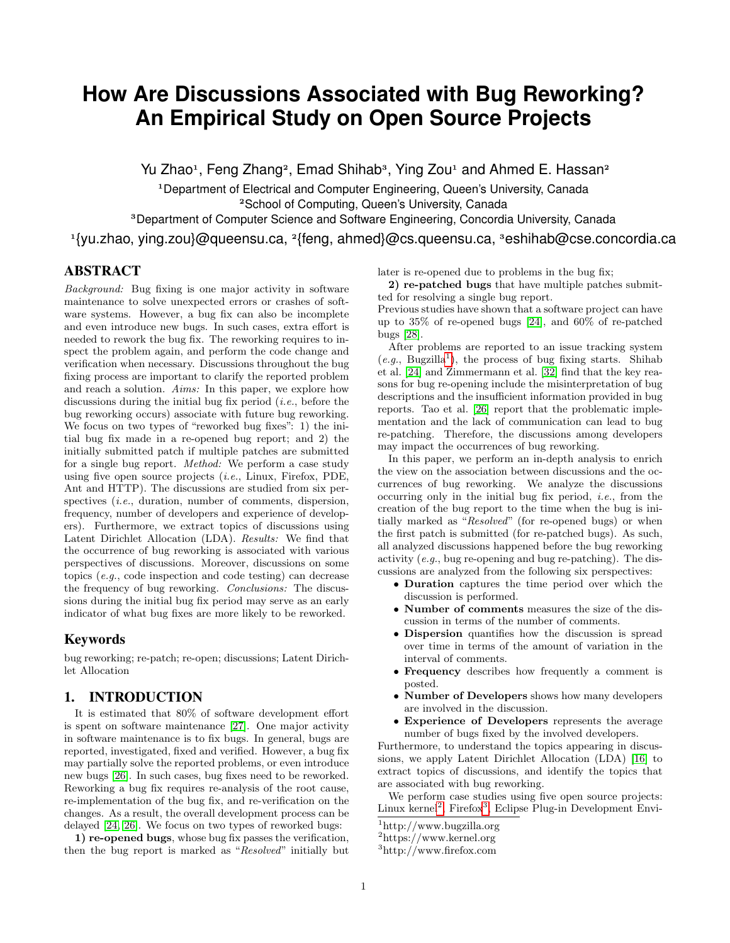# <span id="page-0-0"></span>**How Are Discussions Associated with Bug Reworking? An Empirical Study on Open Source Projects**

Yu Zhao<sup>1</sup>, Feng Zhang<sup>2</sup>, Emad Shihab<sup>3</sup>, Ying Zou<sup>1</sup> and Ahmed E. Hassan<sup>2</sup>

<sup>1</sup>Department of Electrical and Computer Engineering, Queen's University, Canada <sup>2</sup>School of Computing, Queen's University, Canada

<sup>3</sup>Department of Computer Science and Software Engineering, Concordia University, Canada

<sup>1</sup>{yu.zhao, ying.zou}@queensu.ca, <sup>2</sup>{feng, ahmed}@cs.queensu.ca, <sup>3</sup>eshihab@cse.concordia.ca

# ABSTRACT

Background: Bug fixing is one major activity in software maintenance to solve unexpected errors or crashes of software systems. However, a bug fix can also be incomplete and even introduce new bugs. In such cases, extra effort is needed to rework the bug fix. The reworking requires to inspect the problem again, and perform the code change and verification when necessary. Discussions throughout the bug fixing process are important to clarify the reported problem and reach a solution. Aims: In this paper, we explore how discussions during the initial bug fix period  $(i.e.,)$  before the bug reworking occurs) associate with future bug reworking. We focus on two types of "reworked bug fixes": 1) the initial bug fix made in a re-opened bug report; and 2) the initially submitted patch if multiple patches are submitted for a single bug report. Method: We perform a case study using five open source projects (i.e., Linux, Firefox, PDE, Ant and HTTP). The discussions are studied from six perspectives *(i.e., duration, number of comments, dispersion,* frequency, number of developers and experience of developers). Furthermore, we extract topics of discussions using Latent Dirichlet Allocation (LDA). Results: We find that the occurrence of bug reworking is associated with various perspectives of discussions. Moreover, discussions on some topics (e.g., code inspection and code testing) can decrease the frequency of bug reworking. Conclusions: The discussions during the initial bug fix period may serve as an early indicator of what bug fixes are more likely to be reworked.

# Keywords

bug reworking; re-patch; re-open; discussions; Latent Dirichlet Allocation

# 1. INTRODUCTION

It is estimated that 80% of software development effort is spent on software maintenance [\[27\]](#page-9-0). One major activity in software maintenance is to fix bugs. In general, bugs are reported, investigated, fixed and verified. However, a bug fix may partially solve the reported problems, or even introduce new bugs [\[26\]](#page-9-1). In such cases, bug fixes need to be reworked. Reworking a bug fix requires re-analysis of the root cause, re-implementation of the bug fix, and re-verification on the changes. As a result, the overall development process can be delayed [\[24,](#page-9-2) [26\]](#page-9-1). We focus on two types of reworked bugs:

1) re-opened bugs, whose bug fix passes the verification, then the bug report is marked as "Resolved" initially but later is re-opened due to problems in the bug fix;

2) re-patched bugs that have multiple patches submitted for resolving a single bug report.

Previous studies have shown that a software project can have up to 35% of re-opened bugs [\[24\]](#page-9-2), and 60% of re-patched bugs [\[28\]](#page-9-3).

After problems are reported to an issue tracking system  $(e.g., Bugzilla<sup>1</sup>)$ , the process of bug fixing starts. Shihab et al. [\[24\]](#page-9-2) and Zimmermann et al. [\[32\]](#page-9-4) find that the key reasons for bug re-opening include the misinterpretation of bug descriptions and the insufficient information provided in bug reports. Tao et al. [\[26\]](#page-9-1) report that the problematic implementation and the lack of communication can lead to bug re-patching. Therefore, the discussions among developers may impact the occurrences of bug reworking.

In this paper, we perform an in-depth analysis to enrich the view on the association between discussions and the occurrences of bug reworking. We analyze the discussions occurring only in the initial bug fix period, i.e., from the creation of the bug report to the time when the bug is initially marked as "Resolved" (for re-opened bugs) or when the first patch is submitted (for re-patched bugs). As such, all analyzed discussions happened before the bug reworking activity (e.g., bug re-opening and bug re-patching). The discussions are analyzed from the following six perspectives:

- Duration captures the time period over which the discussion is performed.
- Number of comments measures the size of the discussion in terms of the number of comments.
- Dispersion quantifies how the discussion is spread over time in terms of the amount of variation in the interval of comments.
- Frequency describes how frequently a comment is posted.
- Number of Developers shows how many developers are involved in the discussion.
- Experience of Developers represents the average number of bugs fixed by the involved developers.

Furthermore, to understand the topics appearing in discussions, we apply Latent Dirichlet Allocation (LDA) [\[16\]](#page-9-5) to extract topics of discussions, and identify the topics that are associated with bug reworking.

We perform case studies using five open source projects: Linux kernel<sup>2</sup>, Firefox<sup>3</sup>, Eclipse Plug-in Development Envi-

<sup>1</sup>http://www.bugzilla.org

 $^2$ https://www.kernel.org

<sup>3</sup>http://www.firefox.com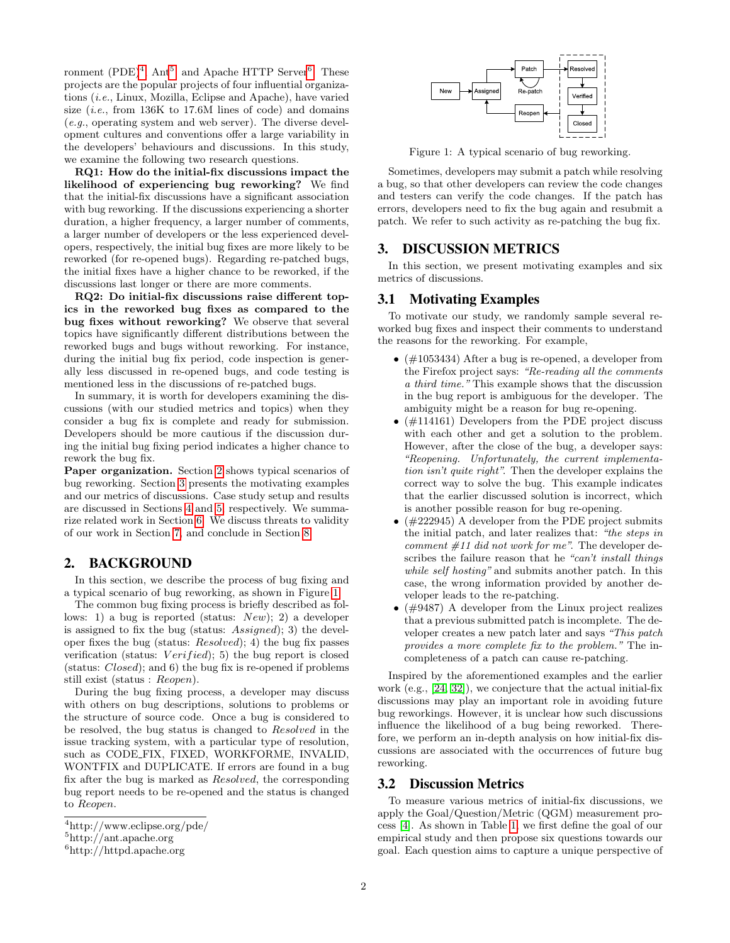ronment  $(PDE)^4$  $(PDE)^4$ , Ant<sup>[5](#page-0-0)</sup>, and Apache HTTP Server<sup>[6](#page-0-0)</sup>. These projects are the popular projects of four influential organizations (i.e., Linux, Mozilla, Eclipse and Apache), have varied size  $(i.e., from 136K to 17.6M lines of code)$  and domains (e.g., operating system and web server). The diverse development cultures and conventions offer a large variability in the developers' behaviours and discussions. In this study, we examine the following two research questions.

RQ1: How do the initial-fix discussions impact the likelihood of experiencing bug reworking? We find that the initial-fix discussions have a significant association with bug reworking. If the discussions experiencing a shorter duration, a higher frequency, a larger number of comments, a larger number of developers or the less experienced developers, respectively, the initial bug fixes are more likely to be reworked (for re-opened bugs). Regarding re-patched bugs, the initial fixes have a higher chance to be reworked, if the discussions last longer or there are more comments.

RQ2: Do initial-fix discussions raise different topics in the reworked bug fixes as compared to the bug fixes without reworking? We observe that several topics have significantly different distributions between the reworked bugs and bugs without reworking. For instance, during the initial bug fix period, code inspection is generally less discussed in re-opened bugs, and code testing is mentioned less in the discussions of re-patched bugs.

In summary, it is worth for developers examining the discussions (with our studied metrics and topics) when they consider a bug fix is complete and ready for submission. Developers should be more cautious if the discussion during the initial bug fixing period indicates a higher chance to rework the bug fix.

Paper organization. Section [2](#page-1-0) shows typical scenarios of bug reworking. Section [3](#page-1-1) presents the motivating examples and our metrics of discussions. Case study setup and results are discussed in Sections [4](#page-2-0) and [5,](#page-4-0) respectively. We summarize related work in Section [6.](#page-7-0) We discuss threats to validity of our work in Section [7,](#page-8-0) and conclude in Section [8.](#page-8-1)

# <span id="page-1-0"></span>2. BACKGROUND

In this section, we describe the process of bug fixing and a typical scenario of bug reworking, as shown in Figure [1.](#page-1-2)

The common bug fixing process is briefly described as follows: 1) a bug is reported (status: New); 2) a developer is assigned to fix the bug (status: Assigned); 3) the developer fixes the bug (status: Resolved); 4) the bug fix passes verification (status:  $Verify($ ; 5) the bug report is closed (status: Closed); and 6) the bug fix is re-opened if problems still exist (status : Reopen).

During the bug fixing process, a developer may discuss with others on bug descriptions, solutions to problems or the structure of source code. Once a bug is considered to be resolved, the bug status is changed to Resolved in the issue tracking system, with a particular type of resolution, such as CODE FIX, FIXED, WORKFORME, INVALID, WONTFIX and DUPLICATE. If errors are found in a bug fix after the bug is marked as Resolved, the corresponding bug report needs to be re-opened and the status is changed to Reopen.

<span id="page-1-2"></span>

Figure 1: A typical scenario of bug reworking.

Sometimes, developers may submit a patch while resolving a bug, so that other developers can review the code changes and testers can verify the code changes. If the patch has errors, developers need to fix the bug again and resubmit a patch. We refer to such activity as re-patching the bug fix.

## <span id="page-1-1"></span>3. DISCUSSION METRICS

In this section, we present motivating examples and six metrics of discussions.

## 3.1 Motivating Examples

To motivate our study, we randomly sample several reworked bug fixes and inspect their comments to understand the reasons for the reworking. For example,

- $\bullet$  (#1053434) After a bug is re-opened, a developer from the Firefox project says: "Re-reading all the comments a third time." This example shows that the discussion in the bug report is ambiguous for the developer. The ambiguity might be a reason for bug re-opening.
- (#114161) Developers from the PDE project discuss with each other and get a solution to the problem. However, after the close of the bug, a developer says: "Reopening. Unfortunately, the current implementation isn't quite right". Then the developer explains the correct way to solve the bug. This example indicates that the earlier discussed solution is incorrect, which is another possible reason for bug re-opening.
- $(\text{\#222945})$  A developer from the PDE project submits the initial patch, and later realizes that: "the steps in comment  $\#11$  did not work for me". The developer describes the failure reason that he "can't install things while self hosting" and submits another patch. In this case, the wrong information provided by another developer leads to the re-patching.
- (#9487) A developer from the Linux project realizes that a previous submitted patch is incomplete. The developer creates a new patch later and says "This patch provides a more complete fix to the problem." The incompleteness of a patch can cause re-patching.

Inspired by the aforementioned examples and the earlier work (e.g., [\[24,](#page-9-2) [32\]](#page-9-4)), we conjecture that the actual initial-fix discussions may play an important role in avoiding future bug reworkings. However, it is unclear how such discussions influence the likelihood of a bug being reworked. Therefore, we perform an in-depth analysis on how initial-fix discussions are associated with the occurrences of future bug reworking.

#### 3.2 Discussion Metrics

To measure various metrics of initial-fix discussions, we apply the Goal/Question/Metric (QGM) measurement process [\[4\]](#page-9-6). As shown in Table [1,](#page-2-1) we first define the goal of our empirical study and then propose six questions towards our goal. Each question aims to capture a unique perspective of

<sup>4</sup>http://www.eclipse.org/pde/

<sup>5</sup>http://ant.apache.org

<sup>6</sup>http://httpd.apache.org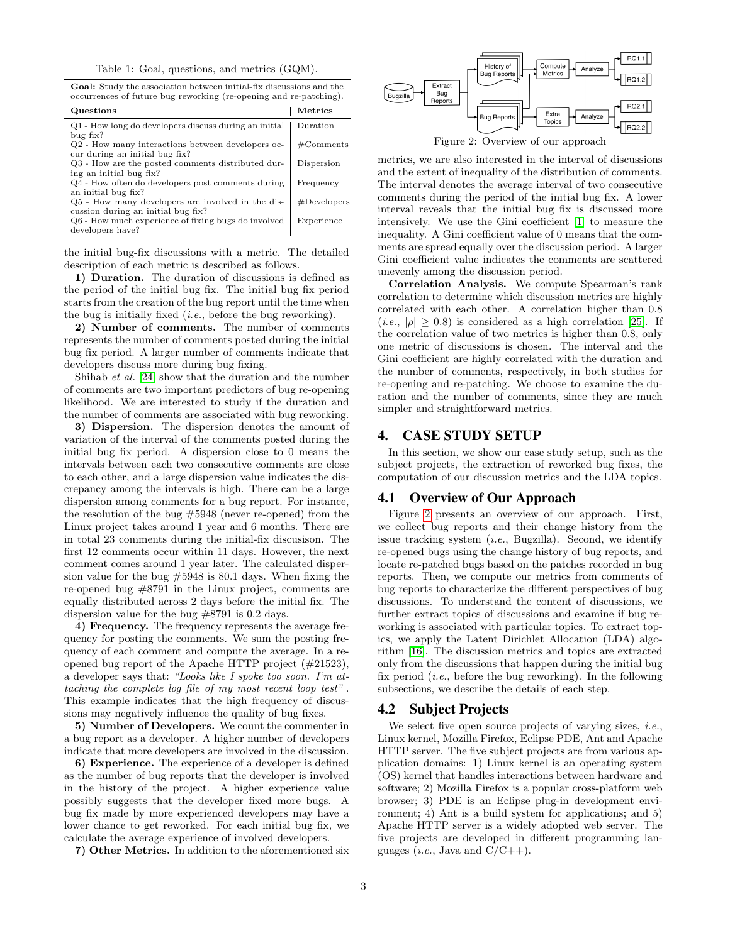Table 1: Goal, questions, and metrics (GQM).

<span id="page-2-1"></span>Goal: Study the association between initial-fix discussions and the occurrences of future bug reworking (re-opening and re-patching).

| Questions                                                                               | Metrics        |
|-----------------------------------------------------------------------------------------|----------------|
| Q1 - How long do developers discuss during an initial                                   | Duration       |
| $bug$ fix?                                                                              |                |
| Q2 - How many interactions between developers oc-<br>cur during an initial bug fix?     | #Comments      |
| Q3 - How are the posted comments distributed dur-<br>ing an initial bug fix?            | Dispersion     |
| Q4 - How often do developers post comments during                                       | Frequency      |
| an initial bug fix?                                                                     |                |
| Q5 - How many developers are involved in the dis-<br>cussion during an initial bug fix? | $#$ Developers |
| Q6 - How much experience of fixing bugs do involved<br>developers have?                 | Experience     |
|                                                                                         |                |

the initial bug-fix discussions with a metric. The detailed description of each metric is described as follows.

1) Duration. The duration of discussions is defined as the period of the initial bug fix. The initial bug fix period starts from the creation of the bug report until the time when the bug is initially fixed  $(i.e.,)$  before the bug reworking).

2) Number of comments. The number of comments represents the number of comments posted during the initial bug fix period. A larger number of comments indicate that developers discuss more during bug fixing.

Shihab et al. [\[24\]](#page-9-2) show that the duration and the number of comments are two important predictors of bug re-opening likelihood. We are interested to study if the duration and the number of comments are associated with bug reworking.

3) Dispersion. The dispersion denotes the amount of variation of the interval of the comments posted during the initial bug fix period. A dispersion close to 0 means the intervals between each two consecutive comments are close to each other, and a large dispersion value indicates the discrepancy among the intervals is high. There can be a large dispersion among comments for a bug report. For instance, the resolution of the bug #5948 (never re-opened) from the Linux project takes around 1 year and 6 months. There are in total 23 comments during the initial-fix discusison. The first 12 comments occur within 11 days. However, the next comment comes around 1 year later. The calculated dispersion value for the bug #5948 is 80.1 days. When fixing the re-opened bug #8791 in the Linux project, comments are equally distributed across 2 days before the initial fix. The dispersion value for the bug #8791 is 0.2 days.

4) Frequency. The frequency represents the average frequency for posting the comments. We sum the posting frequency of each comment and compute the average. In a reopened bug report of the Apache HTTP project (#21523), a developer says that: "Looks like I spoke too soon. I'm attaching the complete log file of my most recent loop test" . This example indicates that the high frequency of discussions may negatively influence the quality of bug fixes.

5) Number of Developers. We count the commenter in a bug report as a developer. A higher number of developers indicate that more developers are involved in the discussion.

6) Experience. The experience of a developer is defined as the number of bug reports that the developer is involved in the history of the project. A higher experience value possibly suggests that the developer fixed more bugs. A bug fix made by more experienced developers may have a lower chance to get reworked. For each initial bug fix, we calculate the average experience of involved developers.

7) Other Metrics. In addition to the aforementioned six

<span id="page-2-2"></span>

Figure 2: Overview of our approach

metrics, we are also interested in the interval of discussions and the extent of inequality of the distribution of comments. The interval denotes the average interval of two consecutive comments during the period of the initial bug fix. A lower interval reveals that the initial bug fix is discussed more intensively. We use the Gini coefficient [\[1\]](#page-9-7) to measure the inequality. A Gini coefficient value of 0 means that the comments are spread equally over the discussion period. A larger Gini coefficient value indicates the comments are scattered unevenly among the discussion period.

Correlation Analysis. We compute Spearman's rank correlation to determine which discussion metrics are highly correlated with each other. A correlation higher than 0.8  $(i.e., |\rho| \geq 0.8)$  is considered as a high correlation [\[25\]](#page-9-8). If the correlation value of two metrics is higher than 0.8, only one metric of discussions is chosen. The interval and the Gini coefficient are highly correlated with the duration and the number of comments, respectively, in both studies for re-opening and re-patching. We choose to examine the duration and the number of comments, since they are much simpler and straightforward metrics.

## <span id="page-2-0"></span>4. CASE STUDY SETUP

In this section, we show our case study setup, such as the subject projects, the extraction of reworked bug fixes, the computation of our discussion metrics and the LDA topics.

### 4.1 Overview of Our Approach

Figure [2](#page-2-2) presents an overview of our approach. First, we collect bug reports and their change history from the issue tracking system  $(i.e.,$  Bugzilla). Second, we identify re-opened bugs using the change history of bug reports, and locate re-patched bugs based on the patches recorded in bug reports. Then, we compute our metrics from comments of bug reports to characterize the different perspectives of bug discussions. To understand the content of discussions, we further extract topics of discussions and examine if bug reworking is associated with particular topics. To extract topics, we apply the Latent Dirichlet Allocation (LDA) algorithm [\[16\]](#page-9-5). The discussion metrics and topics are extracted only from the discussions that happen during the initial bug fix period (*i.e.*, before the bug reworking). In the following subsections, we describe the details of each step.

#### 4.2 Subject Projects

We select five open source projects of varying sizes, *i.e.*, Linux kernel, Mozilla Firefox, Eclipse PDE, Ant and Apache HTTP server. The five subject projects are from various application domains: 1) Linux kernel is an operating system (OS) kernel that handles interactions between hardware and software; 2) Mozilla Firefox is a popular cross-platform web browser; 3) PDE is an Eclipse plug-in development environment; 4) Ant is a build system for applications; and 5) Apache HTTP server is a widely adopted web server. The five projects are developed in different programming languages (*i.e.*, Java and  $C/C++$ ).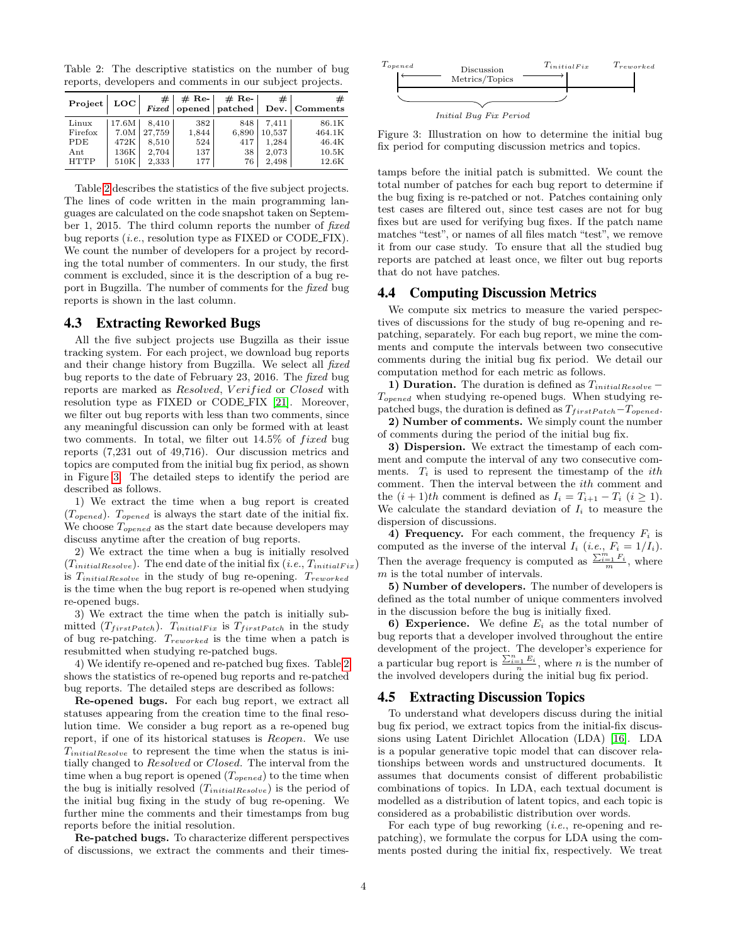<span id="page-3-0"></span>Table 2: The descriptive statistics on the number of bug reports, developers and comments in our subject projects.

| Project   LOC |       | #      | $#$ Re- | $#$ Re- | #      | #<br>Fixed opened   patched   Dev.   Comments |
|---------------|-------|--------|---------|---------|--------|-----------------------------------------------|
| Linux         | 17.6M | 8.410  | 382     | 848     | 7.411  | 86.1K                                         |
| Firefox       | 7.0M  | 27.759 | 1,844   | 6,890   | 10,537 | 464.1K                                        |
| PDE           | 472K  | 8.510  | 524     | 417     | 1.284  | 46.4K                                         |
| Ant           | 136K  | 2,704  | 137     | 38      | 2,073  | 10.5K                                         |
| <b>HTTP</b>   | 510K  | 2,333  | 177     | 76      | 2,498  | 12.6K                                         |

Table [2](#page-3-0) describes the statistics of the five subject projects. The lines of code written in the main programming languages are calculated on the code snapshot taken on September 1, 2015. The third column reports the number of fixed bug reports *(i.e., resolution type as FIXED or CODE\_FIX)*. We count the number of developers for a project by recording the total number of commenters. In our study, the first comment is excluded, since it is the description of a bug report in Bugzilla. The number of comments for the fixed bug reports is shown in the last column.

#### 4.3 Extracting Reworked Bugs

All the five subject projects use Bugzilla as their issue tracking system. For each project, we download bug reports and their change history from Bugzilla. We select all fixed bug reports to the date of February 23, 2016. The fixed bug reports are marked as Resolved, Verified or Closed with resolution type as FIXED or CODE FIX [\[21\]](#page-9-9). Moreover, we filter out bug reports with less than two comments, since any meaningful discussion can only be formed with at least two comments. In total, we filter out  $14.5\%$  of *fixed* bug reports (7,231 out of 49,716). Our discussion metrics and topics are computed from the initial bug fix period, as shown in Figure [3.](#page-3-1) The detailed steps to identify the period are described as follows.

1) We extract the time when a bug report is created  $(T_{opened})$ .  $T_{opened}$  is always the start date of the initial fix. We choose  $T_{\text{opened}}$  as the start date because developers may discuss anytime after the creation of bug reports.

2) We extract the time when a bug is initially resolved  $(T_{initialResolve})$ . The end date of the initial fix  $(i.e., T_{initialFix})$ is  $T_{initialResolve}$  in the study of bug re-opening.  $T_{reworked}$ is the time when the bug report is re-opened when studying re-opened bugs.

3) We extract the time when the patch is initially submitted  $(T_{firstPatch})$ .  $T_{initialFix}$  is  $T_{firstPatch}$  in the study of bug re-patching. Treworked is the time when a patch is resubmitted when studying re-patched bugs.

4) We identify re-opened and re-patched bug fixes. Table [2](#page-3-0) shows the statistics of re-opened bug reports and re-patched bug reports. The detailed steps are described as follows:

Re-opened bugs. For each bug report, we extract all statuses appearing from the creation time to the final resolution time. We consider a bug report as a re-opened bug report, if one of its historical statuses is Reopen. We use  $T_{initialResolve}$  to represent the time when the status is initially changed to Resolved or Closed. The interval from the time when a bug report is opened  $(T_{opened})$  to the time when the bug is initially resolved  $(T_{initialResolve})$  is the period of the initial bug fixing in the study of bug re-opening. We further mine the comments and their timestamps from bug reports before the initial resolution.

Re-patched bugs. To characterize different perspectives of discussions, we extract the comments and their times-

<span id="page-3-1"></span>

Figure 3: Illustration on how to determine the initial bug fix period for computing discussion metrics and topics.

tamps before the initial patch is submitted. We count the total number of patches for each bug report to determine if the bug fixing is re-patched or not. Patches containing only test cases are filtered out, since test cases are not for bug fixes but are used for verifying bug fixes. If the patch name matches "test", or names of all files match "test", we remove it from our case study. To ensure that all the studied bug reports are patched at least once, we filter out bug reports that do not have patches.

## 4.4 Computing Discussion Metrics

We compute six metrics to measure the varied perspectives of discussions for the study of bug re-opening and repatching, separately. For each bug report, we mine the comments and compute the intervals between two consecutive comments during the initial bug fix period. We detail our computation method for each metric as follows.

1) Duration. The duration is defined as  $T_{initialResolve} T_{opened}$  when studying re-opened bugs. When studying repatched bugs, the duration is defined as  $T_{firstPath}-T_{opened}$ .

2) Number of comments. We simply count the number of comments during the period of the initial bug fix.

3) Dispersion. We extract the timestamp of each comment and compute the interval of any two consecutive comments.  $T_i$  is used to represent the timestamp of the *ith* comment. Then the interval between the ith comment and the  $(i + 1)th$  comment is defined as  $I_i = T_{i+1} - T_i$   $(i \geq 1)$ . We calculate the standard deviation of  $I_i$  to measure the dispersion of discussions.

4) Frequency. For each comment, the frequency  $F_i$  is computed as the inverse of the interval  $I_i$  (i.e.,  $F_i = 1/I_i$ ). Then the average frequency is computed as  $\frac{\sum_{i=1}^{m} F_i}{m}$ , where m is the total number of intervals.

5) Number of developers. The number of developers is defined as the total number of unique commenters involved in the discussion before the bug is initially fixed.

6) Experience. We define  $E_i$  as the total number of bug reports that a developer involved throughout the entire development of the project. The developer's experience for a particular bug report is  $\frac{\sum_{i=1}^{n} E_i}{n}$ , where *n* is the number of the involved developers during the initial bug fix period.

## 4.5 Extracting Discussion Topics

To understand what developers discuss during the initial bug fix period, we extract topics from the initial-fix discussions using Latent Dirichlet Allocation (LDA) [\[16\]](#page-9-5). LDA is a popular generative topic model that can discover relationships between words and unstructured documents. It assumes that documents consist of different probabilistic combinations of topics. In LDA, each textual document is modelled as a distribution of latent topics, and each topic is considered as a probabilistic distribution over words.

For each type of bug reworking  $(i.e.,$  re-opening and repatching), we formulate the corpus for LDA using the comments posted during the initial fix, respectively. We treat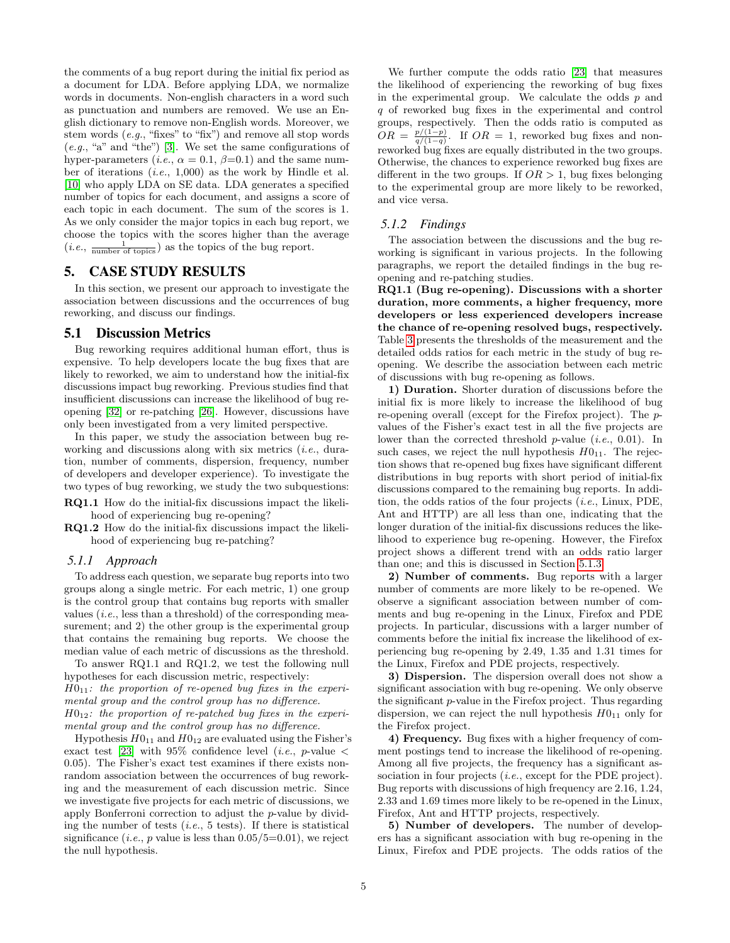the comments of a bug report during the initial fix period as a document for LDA. Before applying LDA, we normalize words in documents. Non-english characters in a word such as punctuation and numbers are removed. We use an English dictionary to remove non-English words. Moreover, we stem words (e.g., "fixes" to "fix") and remove all stop words  $(e.g., "a" and "the")$  [\[3\]](#page-9-10). We set the same configurations of hyper-parameters (*i.e.*,  $\alpha = 0.1$ ,  $\beta = 0.1$ ) and the same number of iterations (i.e., 1,000) as the work by Hindle et al. [\[10\]](#page-9-11) who apply LDA on SE data. LDA generates a specified number of topics for each document, and assigns a score of each topic in each document. The sum of the scores is 1. As we only consider the major topics in each bug report, we choose the topics with the scores higher than the average  $(i.e., \frac{1}{\text{number of topics}})$  as the topics of the bug report.

## <span id="page-4-0"></span>5. CASE STUDY RESULTS

In this section, we present our approach to investigate the association between discussions and the occurrences of bug reworking, and discuss our findings.

## 5.1 Discussion Metrics

Bug reworking requires additional human effort, thus is expensive. To help developers locate the bug fixes that are likely to reworked, we aim to understand how the initial-fix discussions impact bug reworking. Previous studies find that insufficient discussions can increase the likelihood of bug reopening [\[32\]](#page-9-4) or re-patching [\[26\]](#page-9-1). However, discussions have only been investigated from a very limited perspective.

In this paper, we study the association between bug reworking and discussions along with six metrics (i.e., duration, number of comments, dispersion, frequency, number of developers and developer experience). To investigate the two types of bug reworking, we study the two subquestions:

- RQ1.1 How do the initial-fix discussions impact the likelihood of experiencing bug re-opening?
- RQ1.2 How do the initial-fix discussions impact the likelihood of experiencing bug re-patching?

#### *5.1.1 Approach*

To address each question, we separate bug reports into two groups along a single metric. For each metric, 1) one group is the control group that contains bug reports with smaller values  $(i.e.,$  less than a threshold) of the corresponding measurement; and 2) the other group is the experimental group that contains the remaining bug reports. We choose the median value of each metric of discussions as the threshold.

To answer RQ1.1 and RQ1.2, we test the following null hypotheses for each discussion metric, respectively:  $H0_{11}$ : the proportion of re-opened bug fixes in the experimental group and the control group has no difference.  $H0_{12}$ : the proportion of re-patched bug fixes in the experimental group and the control group has no difference.

Hypothesis  $H0_{11}$  and  $H0_{12}$  are evaluated using the Fisher's exact test [\[23\]](#page-9-12) with 95% confidence level (*i.e.*, *p*-value  $\lt$ 0.05). The Fisher's exact test examines if there exists nonrandom association between the occurrences of bug reworking and the measurement of each discussion metric. Since we investigate five projects for each metric of discussions, we apply Bonferroni correction to adjust the p-value by dividing the number of tests  $(i.e., 5 \text{ tests})$ . If there is statistical significance (*i.e.*, *p* value is less than  $0.05/5=0.01$ ), we reject the null hypothesis.

We further compute the odds ratio [\[23\]](#page-9-12) that measures the likelihood of experiencing the reworking of bug fixes in the experimental group. We calculate the odds  $p$  and q of reworked bug fixes in the experimental and control groups, respectively. Then the odds ratio is computed as  $OR = \frac{p/(1-p)}{q/(1-q)}$ . If  $OR = 1$ , reworked bug fixes and nonreworked bug fixes are equally distributed in the two groups. Otherwise, the chances to experience reworked bug fixes are different in the two groups. If  $OR > 1$ , bug fixes belonging to the experimental group are more likely to be reworked, and vice versa.

#### *5.1.2 Findings*

The association between the discussions and the bug reworking is significant in various projects. In the following paragraphs, we report the detailed findings in the bug reopening and re-patching studies.

RQ1.1 (Bug re-opening). Discussions with a shorter duration, more comments, a higher frequency, more developers or less experienced developers increase the chance of re-opening resolved bugs, respectively. Table [3](#page-5-0) presents the thresholds of the measurement and the detailed odds ratios for each metric in the study of bug reopening. We describe the association between each metric of discussions with bug re-opening as follows.

1) Duration. Shorter duration of discussions before the initial fix is more likely to increase the likelihood of bug re-opening overall (except for the Firefox project). The pvalues of the Fisher's exact test in all the five projects are lower than the corrected threshold  $p$ -value (*i.e.*, 0.01). In such cases, we reject the null hypothesis  $H0_{11}$ . The rejection shows that re-opened bug fixes have significant different distributions in bug reports with short period of initial-fix discussions compared to the remaining bug reports. In addition, the odds ratios of the four projects (i.e., Linux, PDE, Ant and HTTP) are all less than one, indicating that the longer duration of the initial-fix discussions reduces the likelihood to experience bug re-opening. However, the Firefox project shows a different trend with an odds ratio larger than one; and this is discussed in Section [5.1.3.](#page-5-1)

2) Number of comments. Bug reports with a larger number of comments are more likely to be re-opened. We observe a significant association between number of comments and bug re-opening in the Linux, Firefox and PDE projects. In particular, discussions with a larger number of comments before the initial fix increase the likelihood of experiencing bug re-opening by 2.49, 1.35 and 1.31 times for the Linux, Firefox and PDE projects, respectively.

3) Dispersion. The dispersion overall does not show a significant association with bug re-opening. We only observe the significant p-value in the Firefox project. Thus regarding dispersion, we can reject the null hypothesis  $H0_{11}$  only for the Firefox project.

4) Frequency. Bug fixes with a higher frequency of comment postings tend to increase the likelihood of re-opening. Among all five projects, the frequency has a significant association in four projects *(i.e., except for the PDE project)*. Bug reports with discussions of high frequency are 2.16, 1.24, 2.33 and 1.69 times more likely to be re-opened in the Linux, Firefox, Ant and HTTP projects, respectively.

5) Number of developers. The number of developers has a significant association with bug re-opening in the Linux, Firefox and PDE projects. The odds ratios of the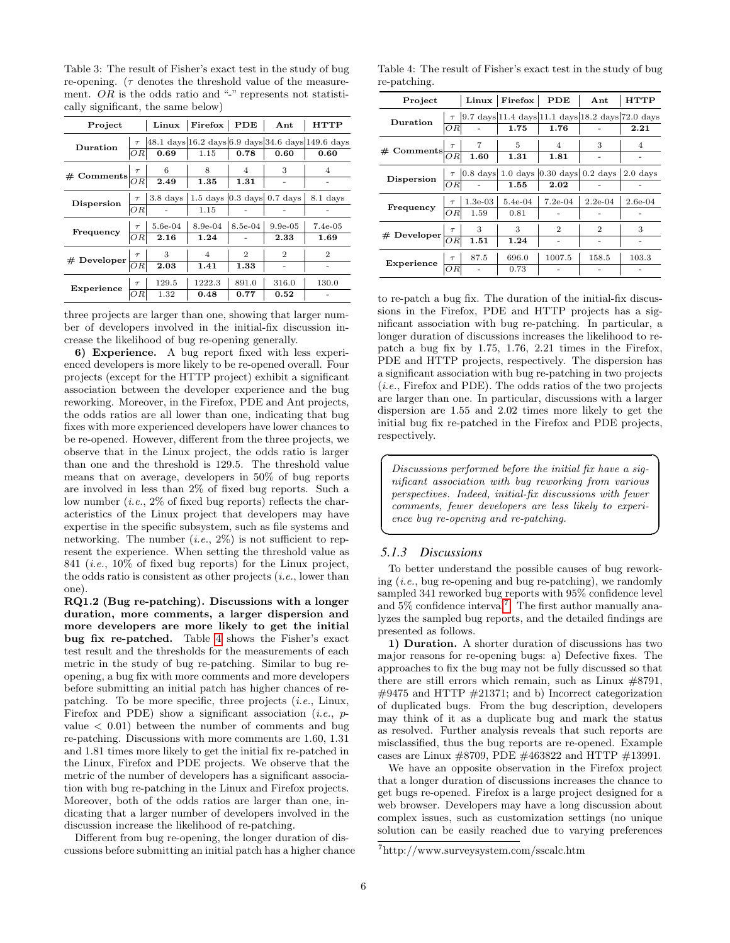<span id="page-5-0"></span>Table 3: The result of Fisher's exact test in the study of bug re-opening. ( $\tau$  denotes the threshold value of the measurement.  $OR$  is the odds ratio and "-" represents not statistically significant, the same below)

| Project                         |        | Linux               | Firefox   PDE |                | $_{\rm Ant}$                       | <b>HTTP</b>                                              |
|---------------------------------|--------|---------------------|---------------|----------------|------------------------------------|----------------------------------------------------------|
| Duration                        |        |                     |               |                |                                    | $\tau$ 48.1 days 16.2 days 6.9 days 34.6 days 149.6 days |
|                                 | ΟR     | 0.69                | 1.15          | 0.78           | 0.60                               | 0.60                                                     |
| $#$ Comments                    | $\tau$ | 6                   | 8             | 4              | 3                                  | 4                                                        |
|                                 | OR     | 2.49                | 1.35          | 1.31           |                                    |                                                          |
| Dispersion                      | $\tau$ | 3.8 <sub>days</sub> |               |                | $1.5$ days $ 0.3$ days $ 0.7$ days | 8.1 days                                                 |
|                                 | ΟR     |                     | 1.15          |                |                                    |                                                          |
|                                 | $\tau$ | 5.6e-04             | 8.9e-04       | 8.5e-04        | $9.9e-05$                          | $7.4e-05$                                                |
| Frequency                       | ΟR     | 2.16                | 1.24          |                | 2.33                               | 1.69                                                     |
| # Developer $\frac{\tau}{ OR }$ |        | 3                   | 4             | $\overline{2}$ | $\overline{2}$                     | $\overline{2}$                                           |
|                                 |        | 2.03                | 1.41          | 1.33           |                                    |                                                          |
| Experience                      | $\tau$ | 129.5               | 1222.3        | 891.0          | 316.0                              | 130.0                                                    |
|                                 |        | 1.32                | 0.48          | 0.77           | 0.52                               |                                                          |

three projects are larger than one, showing that larger number of developers involved in the initial-fix discussion increase the likelihood of bug re-opening generally.

6) Experience. A bug report fixed with less experienced developers is more likely to be re-opened overall. Four projects (except for the HTTP project) exhibit a significant association between the developer experience and the bug reworking. Moreover, in the Firefox, PDE and Ant projects, the odds ratios are all lower than one, indicating that bug fixes with more experienced developers have lower chances to be re-opened. However, different from the three projects, we observe that in the Linux project, the odds ratio is larger than one and the threshold is 129.5. The threshold value means that on average, developers in 50% of bug reports are involved in less than 2% of fixed bug reports. Such a low number  $(i.e., 2\%$  of fixed bug reports) reflects the characteristics of the Linux project that developers may have expertise in the specific subsystem, such as file systems and networking. The number  $(i.e., 2\%)$  is not sufficient to represent the experience. When setting the threshold value as 841 (i.e., 10% of fixed bug reports) for the Linux project, the odds ratio is consistent as other projects  $(i.e.,$  lower than one).

RQ1.2 (Bug re-patching). Discussions with a longer duration, more comments, a larger dispersion and more developers are more likely to get the initial bug fix re-patched. Table [4](#page-5-2) shows the Fisher's exact test result and the thresholds for the measurements of each metric in the study of bug re-patching. Similar to bug reopening, a bug fix with more comments and more developers before submitting an initial patch has higher chances of repatching. To be more specific, three projects  $(i.e., Linux,$ Firefox and PDE) show a significant association (*i.e.*,  $p$ value  $\langle 0.01 \rangle$  between the number of comments and bug re-patching. Discussions with more comments are 1.60, 1.31 and 1.81 times more likely to get the initial fix re-patched in the Linux, Firefox and PDE projects. We observe that the metric of the number of developers has a significant association with bug re-patching in the Linux and Firefox projects. Moreover, both of the odds ratios are larger than one, indicating that a larger number of developers involved in the discussion increase the likelihood of re-patching.

Different from bug re-opening, the longer duration of discussions before submitting an initial patch has a higher chance

<span id="page-5-2"></span>Table 4: The result of Fisher's exact test in the study of bug re-patching.

| Project                                |     |                                      |           | Linux   Firefox   PDE                                          | Ant                         | <b>HTTP</b>    |
|----------------------------------------|-----|--------------------------------------|-----------|----------------------------------------------------------------|-----------------------------|----------------|
| Duration                               |     |                                      |           | $\tau$   9.7 days 11.4 days 11.1 days 18.2 days 72.0 days      |                             |                |
|                                        | ΟRΙ |                                      | 1.75      | 1.76                                                           |                             | 2.21           |
| # Comments $\frac{\tau}{OR}$ 1.60 1.31 |     |                                      |           | 4                                                              | 3                           | $\overline{4}$ |
|                                        |     |                                      |           | 1.81                                                           |                             |                |
| Dispersion                             |     |                                      |           | $\tau$   0.8 days   1.0 days   0.30 days   0.2 days   2.0 days |                             |                |
|                                        | OR. |                                      | 1.55      | 2.02                                                           |                             |                |
| Frequency                              |     | $\frac{\tau}{OR}$ 1.3e-03<br>OR 1.59 | $5.4e-04$ | $7.2e-04$                                                      | $2.2e-04$                   | $2.6e-04$      |
|                                        |     |                                      | 0.81      |                                                                |                             |                |
| # Developer $\frac{\tau}{OR}$ 1.51     |     |                                      | 3         | 2                                                              | $\mathcal{D}_{\mathcal{L}}$ | 3              |
|                                        |     |                                      | 1.24      |                                                                |                             |                |
| Experience $\frac{\tau}{ OR }$         |     | 87.5                                 | 696.0     | 1007.5                                                         | 158.5                       | 103.3          |
|                                        |     |                                      | 0.73      |                                                                |                             |                |

to re-patch a bug fix. The duration of the initial-fix discussions in the Firefox, PDE and HTTP projects has a significant association with bug re-patching. In particular, a longer duration of discussions increases the likelihood to repatch a bug fix by 1.75, 1.76, 2.21 times in the Firefox, PDE and HTTP projects, respectively. The dispersion has a significant association with bug re-patching in two projects (i.e., Firefox and PDE). The odds ratios of the two projects are larger than one. In particular, discussions with a larger dispersion are 1.55 and 2.02 times more likely to get the initial bug fix re-patched in the Firefox and PDE projects, respectively.

Discussions performed before the initial fix have a significant association with bug reworking from various perspectives. Indeed, initial-fix discussions with fewer comments, fewer developers are less likely to experience bug re-opening and re-patching.

✟

✠

### <span id="page-5-1"></span>*5.1.3 Discussions*

☛

 $\searrow$ 

To better understand the possible causes of bug reworking  $(i.e.,$  bug re-opening and bug re-patching), we randomly sampled 341 reworked bug reports with 95% confidence level and  $5\%$  confidence interval<sup>[7](#page-0-0)</sup>. The first author manually analyzes the sampled bug reports, and the detailed findings are presented as follows.

1) Duration. A shorter duration of discussions has two major reasons for re-opening bugs: a) Defective fixes. The approaches to fix the bug may not be fully discussed so that there are still errors which remain, such as Linux #8791,  $\#9475$  and HTTP  $\#21371$ ; and b) Incorrect categorization of duplicated bugs. From the bug description, developers may think of it as a duplicate bug and mark the status as resolved. Further analysis reveals that such reports are misclassified, thus the bug reports are re-opened. Example cases are Linux #8709, PDE #463822 and HTTP #13991.

We have an opposite observation in the Firefox project that a longer duration of discussions increases the chance to get bugs re-opened. Firefox is a large project designed for a web browser. Developers may have a long discussion about complex issues, such as customization settings (no unique solution can be easily reached due to varying preferences

<sup>7</sup>http://www.surveysystem.com/sscalc.htm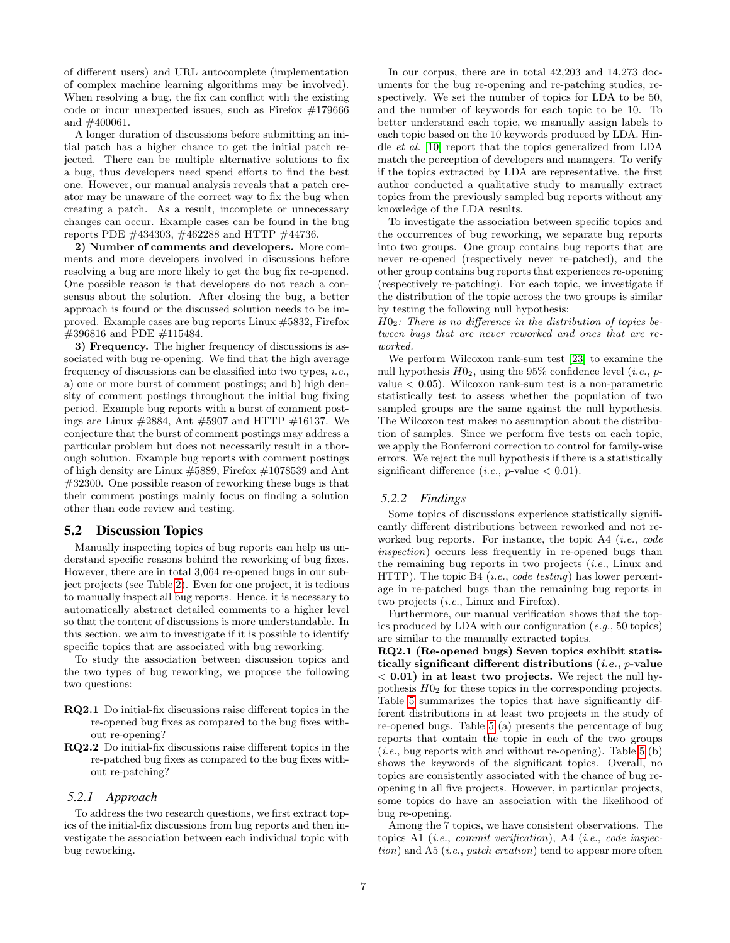of different users) and URL autocomplete (implementation of complex machine learning algorithms may be involved). When resolving a bug, the fix can conflict with the existing code or incur unexpected issues, such as Firefox #179666 and #400061.

A longer duration of discussions before submitting an initial patch has a higher chance to get the initial patch rejected. There can be multiple alternative solutions to fix a bug, thus developers need spend efforts to find the best one. However, our manual analysis reveals that a patch creator may be unaware of the correct way to fix the bug when creating a patch. As a result, incomplete or unnecessary changes can occur. Example cases can be found in the bug reports PDE #434303, #462288 and HTTP #44736.

2) Number of comments and developers. More comments and more developers involved in discussions before resolving a bug are more likely to get the bug fix re-opened. One possible reason is that developers do not reach a consensus about the solution. After closing the bug, a better approach is found or the discussed solution needs to be improved. Example cases are bug reports Linux #5832, Firefox #396816 and PDE #115484.

3) Frequency. The higher frequency of discussions is associated with bug re-opening. We find that the high average frequency of discussions can be classified into two types, *i.e.*, a) one or more burst of comment postings; and b) high density of comment postings throughout the initial bug fixing period. Example bug reports with a burst of comment postings are Linux  $\#2884$ , Ant  $\#5907$  and HTTP  $\#16137$ . We conjecture that the burst of comment postings may address a particular problem but does not necessarily result in a thorough solution. Example bug reports with comment postings of high density are Linux #5889, Firefox #1078539 and Ant #32300. One possible reason of reworking these bugs is that their comment postings mainly focus on finding a solution other than code review and testing.

## 5.2 Discussion Topics

Manually inspecting topics of bug reports can help us understand specific reasons behind the reworking of bug fixes. However, there are in total 3,064 re-opened bugs in our subject projects (see Table [2\)](#page-3-0). Even for one project, it is tedious to manually inspect all bug reports. Hence, it is necessary to automatically abstract detailed comments to a higher level so that the content of discussions is more understandable. In this section, we aim to investigate if it is possible to identify specific topics that are associated with bug reworking.

To study the association between discussion topics and the two types of bug reworking, we propose the following two questions:

- RQ2.1 Do initial-fix discussions raise different topics in the re-opened bug fixes as compared to the bug fixes without re-opening?
- RQ2.2 Do initial-fix discussions raise different topics in the re-patched bug fixes as compared to the bug fixes without re-patching?

#### *5.2.1 Approach*

To address the two research questions, we first extract topics of the initial-fix discussions from bug reports and then investigate the association between each individual topic with bug reworking.

In our corpus, there are in total 42,203 and 14,273 documents for the bug re-opening and re-patching studies, respectively. We set the number of topics for LDA to be 50, and the number of keywords for each topic to be 10. To better understand each topic, we manually assign labels to each topic based on the 10 keywords produced by LDA. Hindle et al. [\[10\]](#page-9-11) report that the topics generalized from LDA match the perception of developers and managers. To verify if the topics extracted by LDA are representative, the first author conducted a qualitative study to manually extract topics from the previously sampled bug reports without any knowledge of the LDA results.

To investigate the association between specific topics and the occurrences of bug reworking, we separate bug reports into two groups. One group contains bug reports that are never re-opened (respectively never re-patched), and the other group contains bug reports that experiences re-opening (respectively re-patching). For each topic, we investigate if the distribution of the topic across the two groups is similar by testing the following null hypothesis:

 $H0<sub>2</sub>$ : There is no difference in the distribution of topics between bugs that are never reworked and ones that are reworked.

We perform Wilcoxon rank-sum test [\[23\]](#page-9-12) to examine the null hypothesis  $H0_2$ , using the 95% confidence level (*i.e.*, *p*value  $< 0.05$ ). Wilcoxon rank-sum test is a non-parametric statistically test to assess whether the population of two sampled groups are the same against the null hypothesis. The Wilcoxon test makes no assumption about the distribution of samples. Since we perform five tests on each topic, we apply the Bonferroni correction to control for family-wise errors. We reject the null hypothesis if there is a statistically significant difference (*i.e.*, *p*-value  $<$  0.01).

#### *5.2.2 Findings*

Some topics of discussions experience statistically significantly different distributions between reworked and not reworked bug reports. For instance, the topic A4 (*i.e.*, *code* inspection) occurs less frequently in re-opened bugs than the remaining bug reports in two projects (i.e., Linux and HTTP). The topic B4 (*i.e.*, *code testing*) has lower percentage in re-patched bugs than the remaining bug reports in two projects (i.e., Linux and Firefox).

Furthermore, our manual verification shows that the topics produced by LDA with our configuration  $(e.g., 50 \text{ topics})$ are similar to the manually extracted topics.

RQ2.1 (Re-opened bugs) Seven topics exhibit statistically significant different distributions  $(i.e., p-value)$  $< 0.01$ ) in at least two projects. We reject the null hypothesis  $H_0$  for these topics in the corresponding projects. Table [5](#page-7-1) summarizes the topics that have significantly different distributions in at least two projects in the study of re-opened bugs. Table [5](#page-7-1) (a) presents the percentage of bug reports that contain the topic in each of the two groups  $(i.e., bug reports with and without re-opening). Table 5 (b)$  $(i.e., bug reports with and without re-opening). Table 5 (b)$  $(i.e., bug reports with and without re-opening). Table 5 (b)$ shows the keywords of the significant topics. Overall, no topics are consistently associated with the chance of bug reopening in all five projects. However, in particular projects, some topics do have an association with the likelihood of bug re-opening.

Among the 7 topics, we have consistent observations. The topics A1 (i.e., commit verification), A4 (i.e., code inspec $tion)$  and A5 (*i.e.*, *patch creation*) tend to appear more often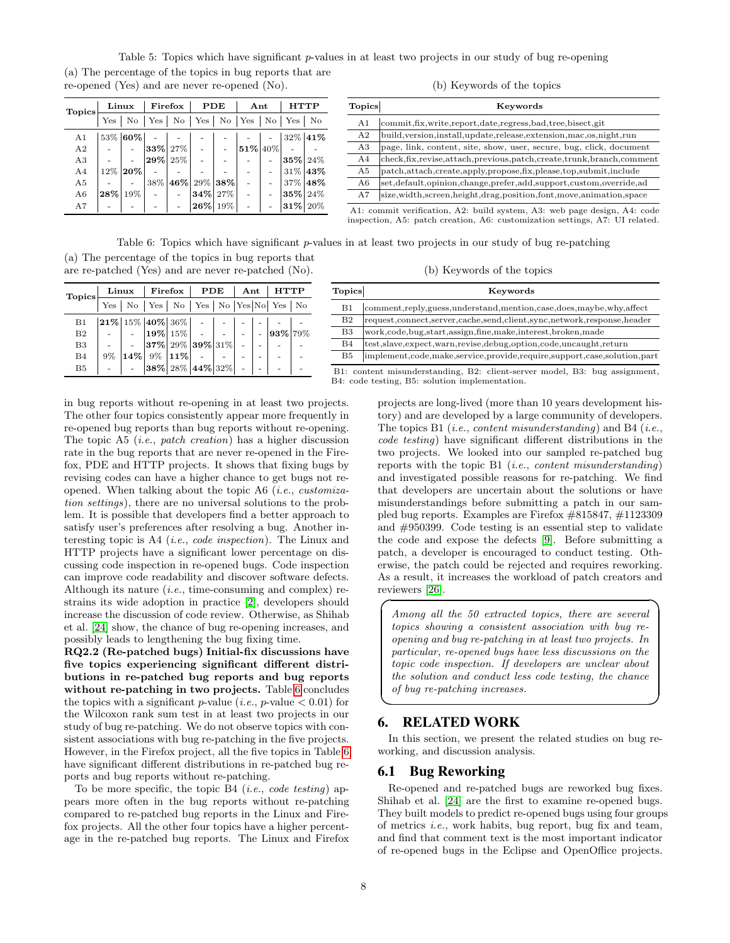<span id="page-7-1"></span>Table 5: Topics which have significant p-values in at least two projects in our study of bug re-opening (a) The percentage of the topics in bug reports that are re-opened (Yes) and are never re-opened (No).

| <b>Topics</b>  | Linux |                    | Firefox |     | PDE                                                             |     | Ant     |  | <b>HTTP</b>         |         |
|----------------|-------|--------------------|---------|-----|-----------------------------------------------------------------|-----|---------|--|---------------------|---------|
|                | Yes   | $\overline{N_{O}}$ | Yes     |     | $\mathrm{No}$   $\mathrm{Yes}$   $\mathrm{No}$   $\mathrm{Yes}$ |     |         |  | $\mathrm{No}$   Yes | No      |
| A <sub>1</sub> |       | 53% 60%            |         |     |                                                                 |     |         |  |                     | 32% 41% |
| A <sub>2</sub> |       |                    | 33% 27% |     |                                                                 |     | 51% 40% |  |                     |         |
| A3             |       |                    | 29% 25% |     |                                                                 |     |         |  | 35%                 | 24%     |
| A <sub>4</sub> | 12%   | 120%               |         |     |                                                                 |     |         |  |                     | 31% 43% |
| A <sub>5</sub> |       |                    | 38%     | 46% | 29%                                                             | 38% |         |  | 37%                 | 48%     |
| A6             | 28%   | 19%                |         |     | 34%                                                             | 27% |         |  | 35%                 | 24%     |
| A7             |       |                    |         |     | 26%                                                             | 19% |         |  | 31%                 | 20%     |

|  |  | (b) Keywords of the topics |  |  |
|--|--|----------------------------|--|--|
|--|--|----------------------------|--|--|

| <b>Topics</b> | Keywords                                                                    |
|---------------|-----------------------------------------------------------------------------|
| A1            | commit, fix, write, report, date, regress, bad, tree, bisect, git           |
| A2            | build, version, install, update, release, extension, mac, os, night, run    |
| A3            | page, link, content, site, show, user, secure, bug, click, document         |
| A4            | check, fix, revise, attach, previous, patch, create, trunk, branch, comment |
| A5            | patch, attach, create, apply, propose, fix, please, top, submit, include    |
| A6            | set, default, opinion, change, prefer, add, support, custom, override, ad   |
| A7            | size, width, screen, height, drag, position, font, move, animation, space   |

A1: commit verification, A2: build system, A3: web page design, A4: code inspection, A5: patch creation, A6: customization settings, A7: UI related.

Table 6: Topics which have significant p-values in at least two projects in our study of bug re-patching

<span id="page-7-2"></span>(a) The percentage of the topics in bug reports that are re-patched (Yes) and are never re-patched (No).

| Topics         |    | Linux   Firefox   PDE   Ant                                                                                                                                       |  |  |  |  |
|----------------|----|-------------------------------------------------------------------------------------------------------------------------------------------------------------------|--|--|--|--|
|                |    | Yes   No   Yes   No   Yes   No   Yes   No   Yes   No                                                                                                              |  |  |  |  |
| B1             |    | $\begin{array}{ c c c c c c c c } \hline & 15\% & 40\% & 36\% & - & - & - & - & - \\ - & - & 19\% & 15\% & - & - & - & - & - & 93\% & 79\% \\ \hline \end{array}$ |  |  |  |  |
| B <sub>2</sub> |    |                                                                                                                                                                   |  |  |  |  |
| B <sub>3</sub> |    | $ 37\% 29\% 39\% 31\% $ -                                                                                                                                         |  |  |  |  |
| B4             | 9% | $14\%$ 9% $ 11\% $ -                                                                                                                                              |  |  |  |  |
| B <sub>5</sub> |    | $ 38\% 28\% 44\% 32\% $                                                                                                                                           |  |  |  |  |

(b) Keywords of the topics

| <b>Topics</b> | Keywords                                                                       |
|---------------|--------------------------------------------------------------------------------|
| Β1            | comment,reply,guess,understand,mention,case,does,maybe,why,affect              |
| B2            | request, connect, server, cache, send, client, sync, network, response, header |
| B3            | work, code, bug, start, assign, fine, make, interest, broken, made             |
| B4            | test, slave, expect, warn, revise, debug, option, code, uncaught, return       |
| B5            | implement,code,make,service,provide,require,support,case,solution,part         |
|               | B1: content misunderstanding, B2: client-server model, B3: bug assignment,     |

B4: code testing, B5: solution implementation.

in bug reports without re-opening in at least two projects. The other four topics consistently appear more frequently in re-opened bug reports than bug reports without re-opening. The topic A5 (*i.e.*, *patch creation*) has a higher discussion rate in the bug reports that are never re-opened in the Firefox, PDE and HTTP projects. It shows that fixing bugs by revising codes can have a higher chance to get bugs not reopened. When talking about the topic A6 (i.e., customization settings), there are no universal solutions to the problem. It is possible that developers find a better approach to satisfy user's preferences after resolving a bug. Another interesting topic is A4 (i.e., code inspection). The Linux and HTTP projects have a significant lower percentage on discussing code inspection in re-opened bugs. Code inspection can improve code readability and discover software defects. Although its nature  $(i.e., time-consuming and complex)$  restrains its wide adoption in practice [\[2\]](#page-9-13), developers should increase the discussion of code review. Otherwise, as Shihab et al. [\[24\]](#page-9-2) show, the chance of bug re-opening increases, and possibly leads to lengthening the bug fixing time.

RQ2.2 (Re-patched bugs) Initial-fix discussions have five topics experiencing significant different distributions in re-patched bug reports and bug reports without re-patching in two projects. Table [6](#page-7-2) concludes the topics with a significant p-value (*i.e.*, p-value  $(0.01)$  for the Wilcoxon rank sum test in at least two projects in our study of bug re-patching. We do not observe topics with consistent associations with bug re-patching in the five projects. However, in the Firefox project, all the five topics in Table [6](#page-7-2) have significant different distributions in re-patched bug reports and bug reports without re-patching.

To be more specific, the topic B4 (*i.e.*, *code testing*) appears more often in the bug reports without re-patching compared to re-patched bug reports in the Linux and Firefox projects. All the other four topics have a higher percentage in the re-patched bug reports. The Linux and Firefox projects are long-lived (more than 10 years development history) and are developed by a large community of developers. The topics B1 (*i.e.*, *content misunderstanding*) and B4 (*i.e.*, code testing) have significant different distributions in the two projects. We looked into our sampled re-patched bug reports with the topic B1 (*i.e.*, *content misunderstanding*) and investigated possible reasons for re-patching. We find that developers are uncertain about the solutions or have misunderstandings before submitting a patch in our sampled bug reports. Examples are Firefox #815847, #1123309 and #950399. Code testing is an essential step to validate the code and expose the defects [\[9\]](#page-9-14). Before submitting a patch, a developer is encouraged to conduct testing. Otherwise, the patch could be rejected and requires reworking. As a result, it increases the workload of patch creators and reviewers [\[26\]](#page-9-1).  $\overline{\phantom{0}}$ ☞

Among all the 50 extracted topics, there are several topics showing a consistent association with bug reopening and bug re-patching in at least two projects. In particular, re-opened bugs have less discussions on the topic code inspection. If developers are unclear about the solution and conduct less code testing, the chance of bug re-patching increases.

# <span id="page-7-0"></span>6. RELATED WORK

✍

In this section, we present the related studies on bug reworking, and discussion analysis.

## 6.1 Bug Reworking

Re-opened and re-patched bugs are reworked bug fixes. Shihab et al. [\[24\]](#page-9-2) are the first to examine re-opened bugs. They built models to predict re-opened bugs using four groups of metrics i.e., work habits, bug report, bug fix and team, and find that comment text is the most important indicator of re-opened bugs in the Eclipse and OpenOffice projects.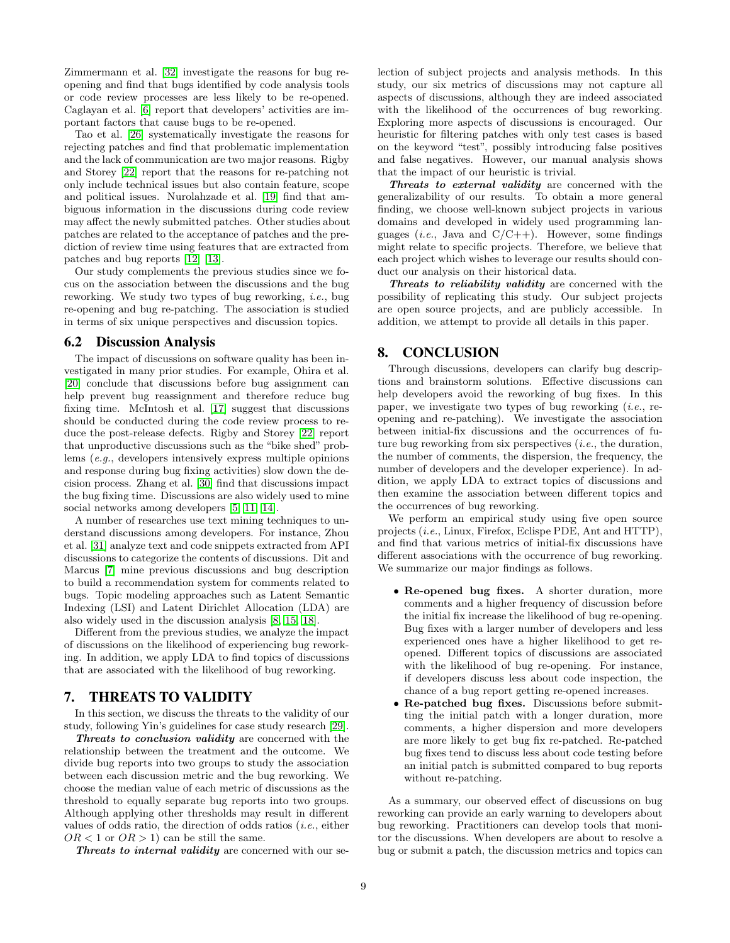Zimmermann et al. [\[32\]](#page-9-4) investigate the reasons for bug reopening and find that bugs identified by code analysis tools or code review processes are less likely to be re-opened. Caglayan et al. [\[6\]](#page-9-15) report that developers' activities are important factors that cause bugs to be re-opened.

Tao et al. [\[26\]](#page-9-1) systematically investigate the reasons for rejecting patches and find that problematic implementation and the lack of communication are two major reasons. Rigby and Storey [\[22\]](#page-9-16) report that the reasons for re-patching not only include technical issues but also contain feature, scope and political issues. Nurolahzade et al. [\[19\]](#page-9-17) find that ambiguous information in the discussions during code review may affect the newly submitted patches. Other studies about patches are related to the acceptance of patches and the prediction of review time using features that are extracted from patches and bug reports [\[12\]](#page-9-18) [\[13\]](#page-9-19).

Our study complements the previous studies since we focus on the association between the discussions and the bug reworking. We study two types of bug reworking, i.e., bug re-opening and bug re-patching. The association is studied in terms of six unique perspectives and discussion topics.

#### 6.2 Discussion Analysis

The impact of discussions on software quality has been investigated in many prior studies. For example, Ohira et al. [\[20\]](#page-9-20) conclude that discussions before bug assignment can help prevent bug reassignment and therefore reduce bug fixing time. McIntosh et al. [\[17\]](#page-9-21) suggest that discussions should be conducted during the code review process to reduce the post-release defects. Rigby and Storey [\[22\]](#page-9-16) report that unproductive discussions such as the "bike shed" problems (e.g., developers intensively express multiple opinions and response during bug fixing activities) slow down the decision process. Zhang et al. [\[30\]](#page-9-22) find that discussions impact the bug fixing time. Discussions are also widely used to mine social networks among developers [\[5,](#page-9-23) [11,](#page-9-24) [14\]](#page-9-25).

A number of researches use text mining techniques to understand discussions among developers. For instance, Zhou et al. [\[31\]](#page-9-26) analyze text and code snippets extracted from API discussions to categorize the contents of discussions. Dit and Marcus [\[7\]](#page-9-27) mine previous discussions and bug description to build a recommendation system for comments related to bugs. Topic modeling approaches such as Latent Semantic Indexing (LSI) and Latent Dirichlet Allocation (LDA) are also widely used in the discussion analysis [\[8,](#page-9-28) [15,](#page-9-29) [18\]](#page-9-30).

Different from the previous studies, we analyze the impact of discussions on the likelihood of experiencing bug reworking. In addition, we apply LDA to find topics of discussions that are associated with the likelihood of bug reworking.

# <span id="page-8-0"></span>7. THREATS TO VALIDITY

In this section, we discuss the threats to the validity of our study, following Yin's guidelines for case study research [\[29\]](#page-9-31).

Threats to conclusion validity are concerned with the relationship between the treatment and the outcome. We divide bug reports into two groups to study the association between each discussion metric and the bug reworking. We choose the median value of each metric of discussions as the threshold to equally separate bug reports into two groups. Although applying other thresholds may result in different values of odds ratio, the direction of odds ratios (i.e., either  $OR < 1$  or  $OR > 1$ ) can be still the same.

Threats to internal validity are concerned with our se-

lection of subject projects and analysis methods. In this study, our six metrics of discussions may not capture all aspects of discussions, although they are indeed associated with the likelihood of the occurrences of bug reworking. Exploring more aspects of discussions is encouraged. Our heuristic for filtering patches with only test cases is based on the keyword "test", possibly introducing false positives and false negatives. However, our manual analysis shows that the impact of our heuristic is trivial.

Threats to external validity are concerned with the generalizability of our results. To obtain a more general finding, we choose well-known subject projects in various domains and developed in widely used programming languages (*i.e.*, Java and  $C/C++$ ). However, some findings might relate to specific projects. Therefore, we believe that each project which wishes to leverage our results should conduct our analysis on their historical data.

Threats to reliability validity are concerned with the possibility of replicating this study. Our subject projects are open source projects, and are publicly accessible. In addition, we attempt to provide all details in this paper.

## <span id="page-8-1"></span>8. CONCLUSION

Through discussions, developers can clarify bug descriptions and brainstorm solutions. Effective discussions can help developers avoid the reworking of bug fixes. In this paper, we investigate two types of bug reworking  $(i.e.,$  reopening and re-patching). We investigate the association between initial-fix discussions and the occurrences of future bug reworking from six perspectives *(i.e., the duration,* the number of comments, the dispersion, the frequency, the number of developers and the developer experience). In addition, we apply LDA to extract topics of discussions and then examine the association between different topics and the occurrences of bug reworking.

We perform an empirical study using five open source projects (i.e., Linux, Firefox, Eclispe PDE, Ant and HTTP), and find that various metrics of initial-fix discussions have different associations with the occurrence of bug reworking. We summarize our major findings as follows.

- Re-opened bug fixes. A shorter duration, more comments and a higher frequency of discussion before the initial fix increase the likelihood of bug re-opening. Bug fixes with a larger number of developers and less experienced ones have a higher likelihood to get reopened. Different topics of discussions are associated with the likelihood of bug re-opening. For instance, if developers discuss less about code inspection, the chance of a bug report getting re-opened increases.
- Re-patched bug fixes. Discussions before submitting the initial patch with a longer duration, more comments, a higher dispersion and more developers are more likely to get bug fix re-patched. Re-patched bug fixes tend to discuss less about code testing before an initial patch is submitted compared to bug reports without re-patching.

As a summary, our observed effect of discussions on bug reworking can provide an early warning to developers about bug reworking. Practitioners can develop tools that monitor the discussions. When developers are about to resolve a bug or submit a patch, the discussion metrics and topics can